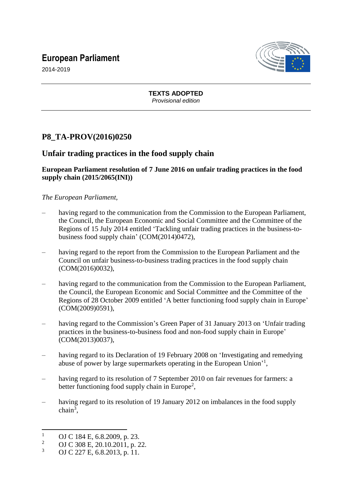# **European Parliament**



2014-2019

**TEXTS ADOPTED** *Provisional edition*

## **P8\_TA-PROV(2016)0250**

### **Unfair trading practices in the food supply chain**

#### **European Parliament resolution of 7 June 2016 on unfair trading practices in the food supply chain (2015/2065(INI))**

#### *The European Parliament,*

- having regard to the communication from the Commission to the European Parliament, the Council, the European Economic and Social Committee and the Committee of the Regions of 15 July 2014 entitled 'Tackling unfair trading practices in the business-tobusiness food supply chain' (COM(2014)0472),
- having regard to the report from the Commission to the European Parliament and the Council on unfair business-to-business trading practices in the food supply chain (COM(2016)0032),
- having regard to the communication from the Commission to the European Parliament, the Council, the European Economic and Social Committee and the Committee of the Regions of 28 October 2009 entitled 'A better functioning food supply chain in Europe' (COM(2009)0591),
- having regard to the Commission's Green Paper of 31 January 2013 on 'Unfair trading practices in the business-to-business food and non-food supply chain in Europe' (COM(2013)0037),
- having regard to its Declaration of 19 February 2008 on 'Investigating and remedying abuse of power by large supermarkets operating in the European Union'<sup>1</sup>,
- having regard to its resolution of 7 September 2010 on fair revenues for farmers: a better functioning food supply chain in Europe<sup>2</sup>,
- having regard to its resolution of 19 January 2012 on imbalances in the food supply  $chain<sup>3</sup>$ ,

 $\mathbf{1}$  $\frac{1}{2}$  OJ C 184 E, 6.8.2009, p. 23.

<sup>&</sup>lt;sup>2</sup> OJ C 308 E, 20.10.2011, p. 22.

OJ C 227 E, 6.8.2013, p. 11.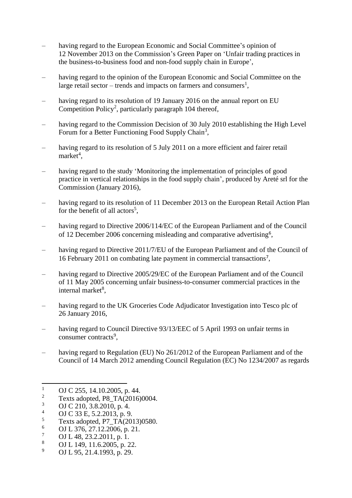- having regard to the European Economic and Social Committee's opinion of 12 November 2013 on the Commission's Green Paper on 'Unfair trading practices in the business-to-business food and non-food supply chain in Europe',
- having regard to the opinion of the European Economic and Social Committee on the large retail sector – trends and impacts on farmers and consumers<sup>1</sup>,
- having regard to its resolution of 19 January 2016 on the annual report on EU Competition Policy<sup>2</sup>, particularly paragraph 104 thereof,
- having regard to the Commission Decision of 30 July 2010 establishing the High Level Forum for a Better Functioning Food Supply Chain<sup>3</sup>,
- having regard to its resolution of 5 July 2011 on a more efficient and fairer retail  $market<sup>4</sup>,$
- having regard to the study 'Monitoring the implementation of principles of good practice in vertical relationships in the food supply chain', produced by Areté srl for the Commission (January 2016),
- having regard to its resolution of 11 December 2013 on the European Retail Action Plan for the benefit of all actors<sup>5</sup>,
- having regard to Directive 2006/114/EC of the European Parliament and of the Council of 12 December 2006 concerning misleading and comparative advertising<sup>6</sup>,
- having regard to Directive 2011/7/EU of the European Parliament and of the Council of 16 February 2011 on combating late payment in commercial transactions<sup>7</sup> ,
- having regard to Directive 2005/29/EC of the European Parliament and of the Council of 11 May 2005 concerning unfair business-to-consumer commercial practices in the internal market<sup>8</sup>,
- having regard to the UK Groceries Code Adjudicator Investigation into Tesco plc of 26 January 2016,
- having regard to Council Directive 93/13/EEC of 5 April 1993 on unfair terms in consumer contracts<sup>9</sup>,
- having regard to Regulation (EU) No 261/2012 of the European Parliament and of the Council of 14 March 2012 amending Council Regulation (EC) No 1234/2007 as regards

- $^{4}$  OJ C 33 E, 5.2.2013, p. 9.<br> $^{5}$  Texts adopted P7 TA(20)
- $^{5}$  Texts adopted, P7\_TA(2013)0580.
- $^{6}$  OJ L 376, 27.12.2006, p. 21.
- $\frac{7}{8}$  OJ L 48, 23.2.2011, p. 1.<br>
OJ L 149, 11.6.2005, p. 2
- <sup>8</sup> OJ L 149, 11.6.2005, p. 22.
- <sup>9</sup> OJ L 95, 21.4.1993, p. 29.

 $\overline{1}$  $\frac{1}{2}$  OJ C 255, 14.10.2005, p. 44.

<sup>&</sup>lt;sup>2</sup> Texts adopted, P8\_TA(2016)0004.<br>3 OLC 210, 2.8, 2010, p. 4.

 $\frac{3}{4}$  OJ C 210, 3.8.2010, p. 4.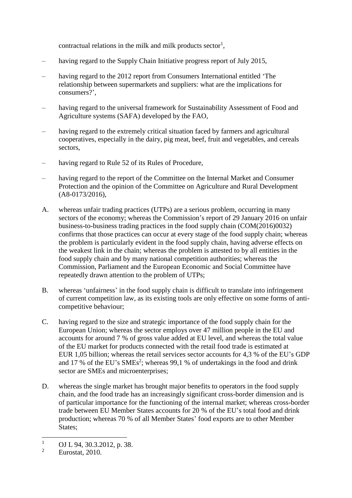contractual relations in the milk and milk products sector<sup>1</sup>,

- having regard to the Supply Chain Initiative progress report of July 2015,
- having regard to the 2012 report from Consumers International entitled 'The relationship between supermarkets and suppliers: what are the implications for consumers?',
- having regard to the universal framework for Sustainability Assessment of Food and Agriculture systems (SAFA) developed by the FAO,
- having regard to the extremely critical situation faced by farmers and agricultural cooperatives, especially in the dairy, pig meat, beef, fruit and vegetables, and cereals sectors,
- having regard to Rule 52 of its Rules of Procedure,
- having regard to the report of the Committee on the Internal Market and Consumer Protection and the opinion of the Committee on Agriculture and Rural Development (A8-0173/2016),
- A. whereas unfair trading practices (UTPs) are a serious problem, occurring in many sectors of the economy; whereas the Commission's report of 29 January 2016 on unfair business-to-business trading practices in the food supply chain (COM(2016)0032) confirms that those practices can occur at every stage of the food supply chain; whereas the problem is particularly evident in the food supply chain, having adverse effects on the weakest link in the chain; whereas the problem is attested to by all entities in the food supply chain and by many national competition authorities; whereas the Commission, Parliament and the European Economic and Social Committee have repeatedly drawn attention to the problem of UTPs;
- B. whereas 'unfairness' in the food supply chain is difficult to translate into infringement of current competition law, as its existing tools are only effective on some forms of anticompetitive behaviour;
- C. having regard to the size and strategic importance of the food supply chain for the European Union; whereas the sector employs over 47 million people in the EU and accounts for around 7 % of gross value added at EU level, and whereas the total value of the EU market for products connected with the retail food trade is estimated at EUR 1,05 billion; whereas the retail services sector accounts for 4,3 % of the EU's GDP and 17 % of the EU's  $SMEs^2$ ; whereas 99,1 % of undertakings in the food and drink sector are SMEs and microenterprises;
- D. whereas the single market has brought major benefits to operators in the food supply chain, and the food trade has an increasingly significant cross-border dimension and is of particular importance for the functioning of the internal market; whereas cross-border trade between EU Member States accounts for 20 % of the EU's total food and drink production; whereas 70 % of all Member States' food exports are to other Member States:

 $\mathbf{1}$  $\frac{1}{2}$  OJ L 94, 30.3.2012, p. 38.

Eurostat, 2010.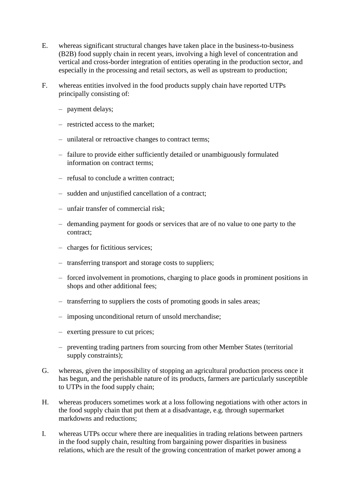- E. whereas significant structural changes have taken place in the business-to-business (B2B) food supply chain in recent years, involving a high level of concentration and vertical and cross-border integration of entities operating in the production sector, and especially in the processing and retail sectors, as well as upstream to production;
- F. whereas entities involved in the food products supply chain have reported UTPs principally consisting of:
	- payment delays;
	- restricted access to the market;
	- unilateral or retroactive changes to contract terms;
	- failure to provide either sufficiently detailed or unambiguously formulated information on contract terms;
	- refusal to conclude a written contract;
	- sudden and unjustified cancellation of a contract;
	- unfair transfer of commercial risk;
	- demanding payment for goods or services that are of no value to one party to the contract;
	- charges for fictitious services;
	- transferring transport and storage costs to suppliers;
	- forced involvement in promotions, charging to place goods in prominent positions in shops and other additional fees;
	- transferring to suppliers the costs of promoting goods in sales areas;
	- imposing unconditional return of unsold merchandise;
	- exerting pressure to cut prices;
	- preventing trading partners from sourcing from other Member States (territorial supply constraints):
- G. whereas, given the impossibility of stopping an agricultural production process once it has begun, and the perishable nature of its products, farmers are particularly susceptible to UTPs in the food supply chain;
- H. whereas producers sometimes work at a loss following negotiations with other actors in the food supply chain that put them at a disadvantage, e.g. through supermarket markdowns and reductions;
- I. whereas UTPs occur where there are inequalities in trading relations between partners in the food supply chain, resulting from bargaining power disparities in business relations, which are the result of the growing concentration of market power among a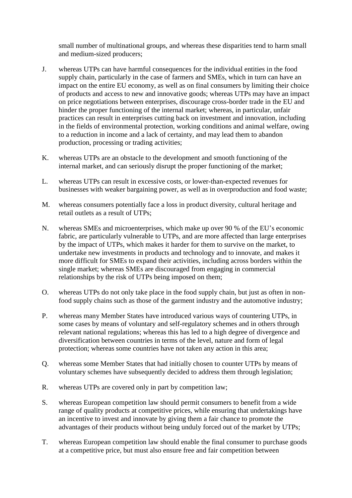small number of multinational groups, and whereas these disparities tend to harm small and medium-sized producers;

- J. whereas UTPs can have harmful consequences for the individual entities in the food supply chain, particularly in the case of farmers and SMEs, which in turn can have an impact on the entire EU economy, as well as on final consumers by limiting their choice of products and access to new and innovative goods; whereas UTPs may have an impact on price negotiations between enterprises, discourage cross-border trade in the EU and hinder the proper functioning of the internal market; whereas, in particular, unfair practices can result in enterprises cutting back on investment and innovation, including in the fields of environmental protection, working conditions and animal welfare, owing to a reduction in income and a lack of certainty, and may lead them to abandon production, processing or trading activities;
- K. whereas UTPs are an obstacle to the development and smooth functioning of the internal market, and can seriously disrupt the proper functioning of the market;
- L. whereas UTPs can result in excessive costs, or lower-than-expected revenues for businesses with weaker bargaining power, as well as in overproduction and food waste;
- M. whereas consumers potentially face a loss in product diversity, cultural heritage and retail outlets as a result of UTPs;
- N. whereas SMEs and microenterprises, which make up over 90 % of the EU's economic fabric, are particularly vulnerable to UTPs, and are more affected than large enterprises by the impact of UTPs, which makes it harder for them to survive on the market, to undertake new investments in products and technology and to innovate, and makes it more difficult for SMEs to expand their activities, including across borders within the single market; whereas SMEs are discouraged from engaging in commercial relationships by the risk of UTPs being imposed on them;
- O. whereas UTPs do not only take place in the food supply chain, but just as often in nonfood supply chains such as those of the garment industry and the automotive industry;
- P. whereas many Member States have introduced various ways of countering UTPs, in some cases by means of voluntary and self-regulatory schemes and in others through relevant national regulations; whereas this has led to a high degree of divergence and diversification between countries in terms of the level, nature and form of legal protection; whereas some countries have not taken any action in this area;
- Q. whereas some Member States that had initially chosen to counter UTPs by means of voluntary schemes have subsequently decided to address them through legislation;
- R. whereas UTPs are covered only in part by competition law;
- S. whereas European competition law should permit consumers to benefit from a wide range of quality products at competitive prices, while ensuring that undertakings have an incentive to invest and innovate by giving them a fair chance to promote the advantages of their products without being unduly forced out of the market by UTPs;
- T. whereas European competition law should enable the final consumer to purchase goods at a competitive price, but must also ensure free and fair competition between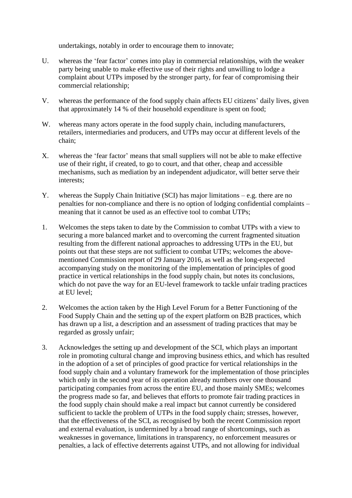undertakings, notably in order to encourage them to innovate;

- U. whereas the 'fear factor' comes into play in commercial relationships, with the weaker party being unable to make effective use of their rights and unwilling to lodge a complaint about UTPs imposed by the stronger party, for fear of compromising their commercial relationship;
- V. whereas the performance of the food supply chain affects EU citizens' daily lives, given that approximately 14 % of their household expenditure is spent on food;
- W. whereas many actors operate in the food supply chain, including manufacturers, retailers, intermediaries and producers, and UTPs may occur at different levels of the chain;
- X. whereas the 'fear factor' means that small suppliers will not be able to make effective use of their right, if created, to go to court, and that other, cheap and accessible mechanisms, such as mediation by an independent adjudicator, will better serve their interests;
- Y. whereas the Supply Chain Initiative (SCI) has major limitations e.g. there are no penalties for non-compliance and there is no option of lodging confidential complaints – meaning that it cannot be used as an effective tool to combat UTPs;
- 1. Welcomes the steps taken to date by the Commission to combat UTPs with a view to securing a more balanced market and to overcoming the current fragmented situation resulting from the different national approaches to addressing UTPs in the EU, but points out that these steps are not sufficient to combat UTPs; welcomes the abovementioned Commission report of 29 January 2016, as well as the long-expected accompanying study on the monitoring of the implementation of principles of good practice in vertical relationships in the food supply chain, but notes its conclusions, which do not pave the way for an EU-level framework to tackle unfair trading practices at EU level;
- 2. Welcomes the action taken by the High Level Forum for a Better Functioning of the Food Supply Chain and the setting up of the expert platform on B2B practices, which has drawn up a list, a description and an assessment of trading practices that may be regarded as grossly unfair;
- 3. Acknowledges the setting up and development of the SCI, which plays an important role in promoting cultural change and improving business ethics, and which has resulted in the adoption of a set of principles of good practice for vertical relationships in the food supply chain and a voluntary framework for the implementation of those principles which only in the second year of its operation already numbers over one thousand participating companies from across the entire EU, and those mainly SMEs; welcomes the progress made so far, and believes that efforts to promote fair trading practices in the food supply chain should make a real impact but cannot currently be considered sufficient to tackle the problem of UTPs in the food supply chain; stresses, however, that the effectiveness of the SCI, as recognised by both the recent Commission report and external evaluation, is undermined by a broad range of shortcomings, such as weaknesses in governance, limitations in transparency, no enforcement measures or penalties, a lack of effective deterrents against UTPs, and not allowing for individual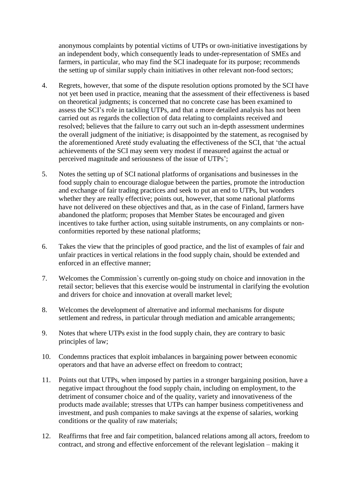anonymous complaints by potential victims of UTPs or own-initiative investigations by an independent body, which consequently leads to under-representation of SMEs and farmers, in particular, who may find the SCI inadequate for its purpose; recommends the setting up of similar supply chain initiatives in other relevant non-food sectors;

- 4. Regrets, however, that some of the dispute resolution options promoted by the SCI have not yet been used in practice, meaning that the assessment of their effectiveness is based on theoretical judgments; is concerned that no concrete case has been examined to assess the SCI's role in tackling UTPs, and that a more detailed analysis has not been carried out as regards the collection of data relating to complaints received and resolved; believes that the failure to carry out such an in-depth assessment undermines the overall judgment of the initiative; is disappointed by the statement, as recognised by the aforementioned Areté study evaluating the effectiveness of the SCI, that 'the actual achievements of the SCI may seem very modest if measured against the actual or perceived magnitude and seriousness of the issue of UTPs';
- 5. Notes the setting up of SCI national platforms of organisations and businesses in the food supply chain to encourage dialogue between the parties, promote the introduction and exchange of fair trading practices and seek to put an end to UTPs, but wonders whether they are really effective; points out, however, that some national platforms have not delivered on these objectives and that, as in the case of Finland, farmers have abandoned the platform; proposes that Member States be encouraged and given incentives to take further action, using suitable instruments, on any complaints or nonconformities reported by these national platforms;
- 6. Takes the view that the principles of good practice, and the list of examples of fair and unfair practices in vertical relations in the food supply chain, should be extended and enforced in an effective manner;
- 7. Welcomes the Commission`s currently on-going study on choice and innovation in the retail sector; believes that this exercise would be instrumental in clarifying the evolution and drivers for choice and innovation at overall market level;
- 8. Welcomes the development of alternative and informal mechanisms for dispute settlement and redress, in particular through mediation and amicable arrangements;
- 9. Notes that where UTPs exist in the food supply chain, they are contrary to basic principles of law;
- 10. Condemns practices that exploit imbalances in bargaining power between economic operators and that have an adverse effect on freedom to contract;
- 11. Points out that UTPs, when imposed by parties in a stronger bargaining position, have a negative impact throughout the food supply chain, including on employment, to the detriment of consumer choice and of the quality, variety and innovativeness of the products made available; stresses that UTPs can hamper business competitiveness and investment, and push companies to make savings at the expense of salaries, working conditions or the quality of raw materials;
- 12. Reaffirms that free and fair competition, balanced relations among all actors, freedom to contract, and strong and effective enforcement of the relevant legislation – making it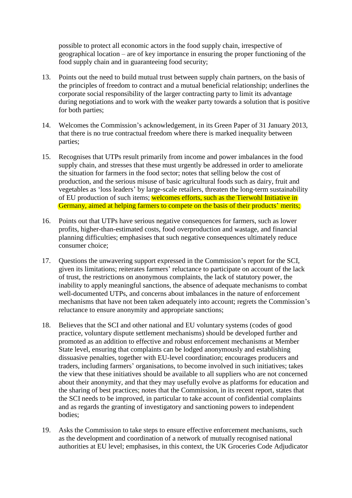possible to protect all economic actors in the food supply chain, irrespective of geographical location – are of key importance in ensuring the proper functioning of the food supply chain and in guaranteeing food security;

- 13. Points out the need to build mutual trust between supply chain partners, on the basis of the principles of freedom to contract and a mutual beneficial relationship; underlines the corporate social responsibility of the larger contracting party to limit its advantage during negotiations and to work with the weaker party towards a solution that is positive for both parties;
- 14. Welcomes the Commission's acknowledgement, in its Green Paper of 31 January 2013, that there is no true contractual freedom where there is marked inequality between parties;
- 15. Recognises that UTPs result primarily from income and power imbalances in the food supply chain, and stresses that these must urgently be addressed in order to ameliorate the situation for farmers in the food sector; notes that selling below the cost of production, and the serious misuse of basic agricultural foods such as dairy, fruit and vegetables as 'loss leaders' by large-scale retailers, threaten the long-term sustainability of EU production of such items; welcomes efforts, such as the Tierwohl Initiative in Germany, aimed at helping farmers to compete on the basis of their products' merits;
- 16. Points out that UTPs have serious negative consequences for farmers, such as lower profits, higher-than-estimated costs, food overproduction and wastage, and financial planning difficulties; emphasises that such negative consequences ultimately reduce consumer choice;
- 17. Questions the unwavering support expressed in the Commission's report for the SCI, given its limitations; reiterates farmers' reluctance to participate on account of the lack of trust, the restrictions on anonymous complaints, the lack of statutory power, the inability to apply meaningful sanctions, the absence of adequate mechanisms to combat well-documented UTPs, and concerns about imbalances in the nature of enforcement mechanisms that have not been taken adequately into account; regrets the Commission's reluctance to ensure anonymity and appropriate sanctions;
- 18. Believes that the SCI and other national and EU voluntary systems (codes of good practice, voluntary dispute settlement mechanisms) should be developed further and promoted as an addition to effective and robust enforcement mechanisms at Member State level, ensuring that complaints can be lodged anonymously and establishing dissuasive penalties, together with EU-level coordination; encourages producers and traders, including farmers' organisations, to become involved in such initiatives; takes the view that these initiatives should be available to all suppliers who are not concerned about their anonymity, and that they may usefully evolve as platforms for education and the sharing of best practices; notes that the Commission, in its recent report, states that the SCI needs to be improved, in particular to take account of confidential complaints and as regards the granting of investigatory and sanctioning powers to independent bodies;
- 19. Asks the Commission to take steps to ensure effective enforcement mechanisms, such as the development and coordination of a network of mutually recognised national authorities at EU level; emphasises, in this context, the UK Groceries Code Adjudicator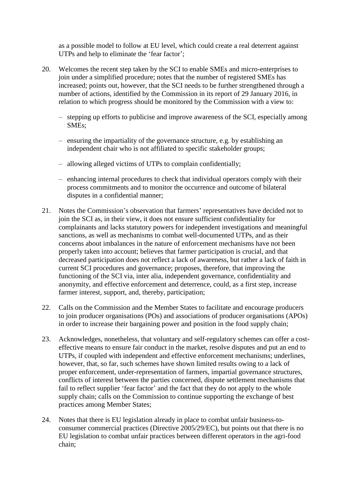as a possible model to follow at EU level, which could create a real deterrent against UTPs and help to eliminate the 'fear factor';

- 20. Welcomes the recent step taken by the SCI to enable SMEs and micro-enterprises to join under a simplified procedure; notes that the number of registered SMEs has increased; points out, however, that the SCI needs to be further strengthened through a number of actions, identified by the Commission in its report of 29 January 2016, in relation to which progress should be monitored by the Commission with a view to:
	- stepping up efforts to publicise and improve awareness of the SCI, especially among SMEs;
	- ensuring the impartiality of the governance structure, e.g. by establishing an independent chair who is not affiliated to specific stakeholder groups;
	- allowing alleged victims of UTPs to complain confidentially;
	- enhancing internal procedures to check that individual operators comply with their process commitments and to monitor the occurrence and outcome of bilateral disputes in a confidential manner;
- 21. Notes the Commission's observation that farmers' representatives have decided not to join the SCI as, in their view, it does not ensure sufficient confidentiality for complainants and lacks statutory powers for independent investigations and meaningful sanctions, as well as mechanisms to combat well-documented UTPs, and as their concerns about imbalances in the nature of enforcement mechanisms have not been properly taken into account; believes that farmer participation is crucial, and that decreased participation does not reflect a lack of awareness, but rather a lack of faith in current SCI procedures and governance; proposes, therefore, that improving the functioning of the SCI via, inter alia, independent governance, confidentiality and anonymity, and effective enforcement and deterrence, could, as a first step, increase farmer interest, support, and, thereby, participation;
- 22. Calls on the Commission and the Member States to facilitate and encourage producers to join producer organisations (POs) and associations of producer organisations (APOs) in order to increase their bargaining power and position in the food supply chain;
- 23. Acknowledges, nonetheless, that voluntary and self-regulatory schemes can offer a costeffective means to ensure fair conduct in the market, resolve disputes and put an end to UTPs, if coupled with independent and effective enforcement mechanisms; underlines, however, that, so far, such schemes have shown limited results owing to a lack of proper enforcement, under-representation of farmers, impartial governance structures, conflicts of interest between the parties concerned, dispute settlement mechanisms that fail to reflect supplier 'fear factor' and the fact that they do not apply to the whole supply chain; calls on the Commission to continue supporting the exchange of best practices among Member States;
- 24. Notes that there is EU legislation already in place to combat unfair business-toconsumer commercial practices (Directive 2005/29/EC), but points out that there is no EU legislation to combat unfair practices between different operators in the agri-food chain;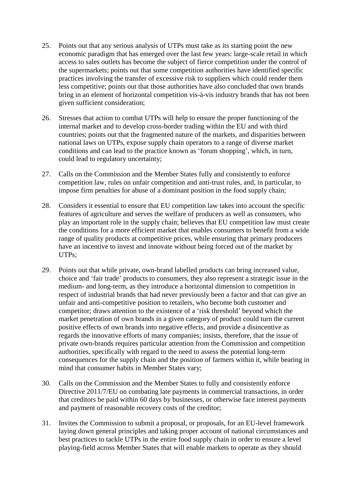- 25. Points out that any serious analysis of UTPs must take as its starting point the new economic paradigm that has emerged over the last few years: large-scale retail in which access to sales outlets has become the subject of fierce competition under the control of the supermarkets; points out that some competition authorities have identified specific practices involving the transfer of excessive risk to suppliers which could render them less competitive; points out that those authorities have also concluded that own brands bring in an element of horizontal competition vis-à-vis industry brands that has not been given sufficient consideration;
- 26. Stresses that action to combat UTPs will help to ensure the proper functioning of the internal market and to develop cross-border trading within the EU and with third countries; points out that the fragmented nature of the markets, and disparities between national laws on UTPs, expose supply chain operators to a range of diverse market conditions and can lead to the practice known as 'forum shopping', which, in turn, could lead to regulatory uncertainty;
- 27. Calls on the Commission and the Member States fully and consistently to enforce competition law, rules on unfair competition and anti-trust rules, and, in particular, to impose firm penalties for abuse of a dominant position in the food supply chain;
- 28. Considers it essential to ensure that EU competition law takes into account the specific features of agriculture and serves the welfare of producers as well as consumers, who play an important role in the supply chain; believes that EU competition law must create the conditions for a more efficient market that enables consumers to benefit from a wide range of quality products at competitive prices, while ensuring that primary producers have an incentive to invest and innovate without being forced out of the market by UTPs;
- 29. Points out that while private, own-brand labelled products can bring increased value, choice and 'fair trade' products to consumers, they also represent a strategic issue in the medium- and long-term, as they introduce a horizontal dimension to competition in respect of industrial brands that had never previously been a factor and that can give an unfair and anti-competitive position to retailers, who become both customer and competitor; draws attention to the existence of a 'risk threshold' beyond which the market penetration of own brands in a given category of product could turn the current positive effects of own brands into negative effects, and provide a disincentive as regards the innovative efforts of many companies; insists, therefore, that the issue of private own-brands requires particular attention from the Commission and competition authorities, specifically with regard to the need to assess the potential long-term consequences for the supply chain and the position of farmers within it, while bearing in mind that consumer habits in Member States vary;
- 30. Calls on the Commission and the Member States to fully and consistently enforce Directive 2011/7/EU on combating late payments in commercial transactions, in order that creditors be paid within 60 days by businesses, or otherwise face interest payments and payment of reasonable recovery costs of the creditor;
- 31. Invites the Commission to submit a proposal, or proposals, for an EU-level framework laying down general principles and taking proper account of national circumstances and best practices to tackle UTPs in the entire food supply chain in order to ensure a level playing-field across Member States that will enable markets to operate as they should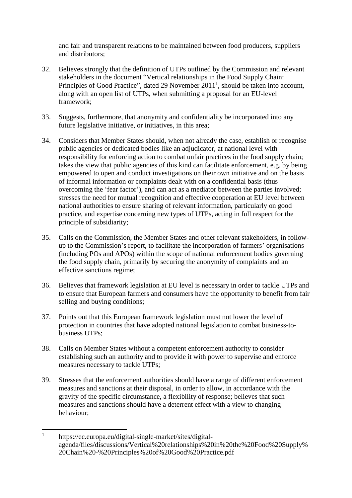and fair and transparent relations to be maintained between food producers, suppliers and distributors;

- 32. Believes strongly that the definition of UTPs outlined by the Commission and relevant stakeholders in the document "Vertical relationships in the Food Supply Chain: Principles of Good Practice", dated 29 November  $2011<sup>1</sup>$ , should be taken into account, along with an open list of UTPs, when submitting a proposal for an EU-level framework;
- 33. Suggests, furthermore, that anonymity and confidentiality be incorporated into any future legislative initiative, or initiatives, in this area;
- 34. Considers that Member States should, when not already the case, establish or recognise public agencies or dedicated bodies like an adjudicator, at national level with responsibility for enforcing action to combat unfair practices in the food supply chain; takes the view that public agencies of this kind can facilitate enforcement, e.g. by being empowered to open and conduct investigations on their own initiative and on the basis of informal information or complaints dealt with on a confidential basis (thus overcoming the 'fear factor'), and can act as a mediator between the parties involved; stresses the need for mutual recognition and effective cooperation at EU level between national authorities to ensure sharing of relevant information, particularly on good practice, and expertise concerning new types of UTPs, acting in full respect for the principle of subsidiarity;
- 35. Calls on the Commission, the Member States and other relevant stakeholders, in followup to the Commission's report, to facilitate the incorporation of farmers' organisations (including POs and APOs) within the scope of national enforcement bodies governing the food supply chain, primarily by securing the anonymity of complaints and an effective sanctions regime;
- 36. Believes that framework legislation at EU level is necessary in order to tackle UTPs and to ensure that European farmers and consumers have the opportunity to benefit from fair selling and buying conditions;
- 37. Points out that this European framework legislation must not lower the level of protection in countries that have adopted national legislation to combat business-tobusiness UTPs;
- 38. Calls on Member States without a competent enforcement authority to consider establishing such an authority and to provide it with power to supervise and enforce measures necessary to tackle UTPs;
- 39. Stresses that the enforcement authorities should have a range of different enforcement measures and sanctions at their disposal, in order to allow, in accordance with the gravity of the specific circumstance, a flexibility of response; believes that such measures and sanctions should have a deterrent effect with a view to changing behaviour;

 $\overline{a}$ 1 [https://ec.europa.eu/digital-single-market/sites/digital](https://ec.europa.eu/digital-single-market/sites/digital-agenda/files/discussions/Vertical%20relationships%20in%20the%20Food%20Supply%20Chain%20-%20Principles%20of%20Good%20Practice.pdf)[agenda/files/discussions/Vertical%20relationships%20in%20the%20Food%20Supply%](https://ec.europa.eu/digital-single-market/sites/digital-agenda/files/discussions/Vertical%20relationships%20in%20the%20Food%20Supply%20Chain%20-%20Principles%20of%20Good%20Practice.pdf) [20Chain%20-%20Principles%20of%20Good%20Practice.pdf](https://ec.europa.eu/digital-single-market/sites/digital-agenda/files/discussions/Vertical%20relationships%20in%20the%20Food%20Supply%20Chain%20-%20Principles%20of%20Good%20Practice.pdf)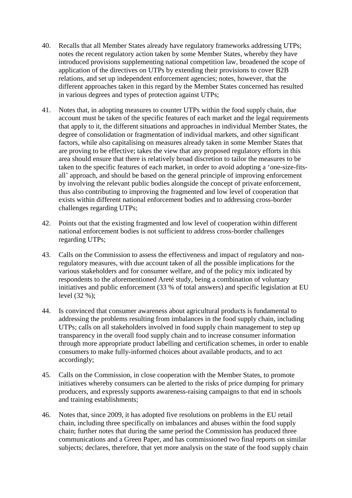- 40. Recalls that all Member States already have regulatory frameworks addressing UTPs; notes the recent regulatory action taken by some Member States, whereby they have introduced provisions supplementing national competition law, broadened the scope of application of the directives on UTPs by extending their provisions to cover B2B relations, and set up independent enforcement agencies; notes, however, that the different approaches taken in this regard by the Member States concerned has resulted in various degrees and types of protection against UTPs;
- 41. Notes that, in adopting measures to counter UTPs within the food supply chain, due account must be taken of the specific features of each market and the legal requirements that apply to it, the different situations and approaches in individual Member States, the degree of consolidation or fragmentation of individual markets, and other significant factors, while also capitalising on measures already taken in some Member States that are proving to be effective; takes the view that any proposed regulatory efforts in this area should ensure that there is relatively broad discretion to tailor the measures to be taken to the specific features of each market, in order to avoid adopting a 'one-size-fitsall' approach, and should be based on the general principle of improving enforcement by involving the relevant public bodies alongside the concept of private enforcement, thus also contributing to improving the fragmented and low level of cooperation that exists within different national enforcement bodies and to addressing cross-border challenges regarding UTPs;
- 42. Points out that the existing fragmented and low level of cooperation within different national enforcement bodies is not sufficient to address cross-border challenges regarding UTPs;
- 43. Calls on the Commission to assess the effectiveness and impact of regulatory and nonregulatory measures, with due account taken of all the possible implications for the various stakeholders and for consumer welfare, and of the policy mix indicated by respondents to the aforementioned Areté study, being a combination of voluntary initiatives and public enforcement (33 % of total answers) and specific legislation at EU level (32 %);
- 44. Is convinced that consumer awareness about agricultural products is fundamental to addressing the problems resulting from imbalances in the food supply chain, including UTPs; calls on all stakeholders involved in food supply chain management to step up transparency in the overall food supply chain and to increase consumer information through more appropriate product labelling and certification schemes, in order to enable consumers to make fully-informed choices about available products, and to act accordingly;
- 45. Calls on the Commission, in close cooperation with the Member States, to promote initiatives whereby consumers can be alerted to the risks of price dumping for primary producers, and expressly supports awareness-raising campaigns to that end in schools and training establishments;
- 46. Notes that, since 2009, it has adopted five resolutions on problems in the EU retail chain, including three specifically on imbalances and abuses within the food supply chain; further notes that during the same period the Commission has produced three communications and a Green Paper, and has commissioned two final reports on similar subjects; declares, therefore, that yet more analysis on the state of the food supply chain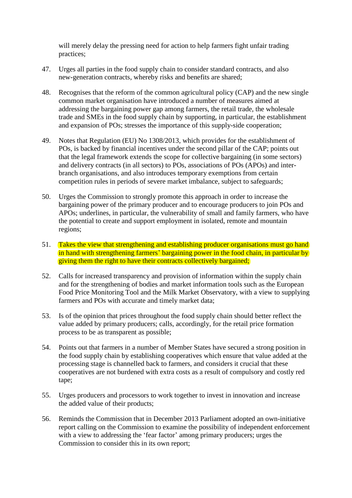will merely delay the pressing need for action to help farmers fight unfair trading practices;

- 47. Urges all parties in the food supply chain to consider standard contracts, and also new-generation contracts, whereby risks and benefits are shared;
- 48. Recognises that the reform of the common agricultural policy (CAP) and the new single common market organisation have introduced a number of measures aimed at addressing the bargaining power gap among farmers, the retail trade, the wholesale trade and SMEs in the food supply chain by supporting, in particular, the establishment and expansion of POs; stresses the importance of this supply-side cooperation;
- 49. Notes that Regulation (EU) No 1308/2013, which provides for the establishment of POs, is backed by financial incentives under the second pillar of the CAP; points out that the legal framework extends the scope for collective bargaining (in some sectors) and delivery contracts (in all sectors) to POs, associations of POs (APOs) and interbranch organisations, and also introduces temporary exemptions from certain competition rules in periods of severe market imbalance, subject to safeguards;
- 50. Urges the Commission to strongly promote this approach in order to increase the bargaining power of the primary producer and to encourage producers to join POs and APOs; underlines, in particular, the vulnerability of small and family farmers, who have the potential to create and support employment in isolated, remote and mountain regions;
- 51. Takes the view that strengthening and establishing producer organisations must go hand in hand with strengthening farmers' bargaining power in the food chain, in particular by giving them the right to have their contracts collectively bargained;
- 52. Calls for increased transparency and provision of information within the supply chain and for the strengthening of bodies and market information tools such as the European Food Price Monitoring Tool and the Milk Market Observatory, with a view to supplying farmers and POs with accurate and timely market data;
- 53. Is of the opinion that prices throughout the food supply chain should better reflect the value added by primary producers; calls, accordingly, for the retail price formation process to be as transparent as possible;
- 54. Points out that farmers in a number of Member States have secured a strong position in the food supply chain by establishing cooperatives which ensure that value added at the processing stage is channelled back to farmers, and considers it crucial that these cooperatives are not burdened with extra costs as a result of compulsory and costly red tape;
- 55. Urges producers and processors to work together to invest in innovation and increase the added value of their products;
- 56. Reminds the Commission that in December 2013 Parliament adopted an own-initiative report calling on the Commission to examine the possibility of independent enforcement with a view to addressing the 'fear factor' among primary producers; urges the Commission to consider this in its own report;